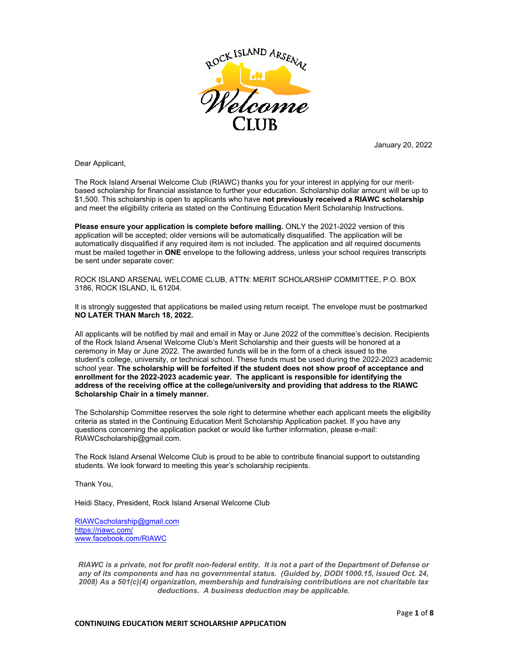

January 20, 2022

Dear Applicant,

The Rock Island Arsenal Welcome Club (RIAWC) thanks you for your interest in applying for our meritbased scholarship for financial assistance to further your education. Scholarship dollar amount will be up to \$1,500. This scholarship is open to applicants who have **not previously received a RIAWC scholarship** and meet the eligibility criteria as stated on the Continuing Education Merit Scholarship Instructions.

**Please ensure your application is complete before mailing.** ONLY the 2021-2022 version of this application will be accepted; older versions will be automatically disqualified. The application will be automatically disqualified if any required item is not included. The application and all required documents must be mailed together in **ONE** envelope to the following address, unless your school requires transcripts be sent under separate cover:

ROCK ISLAND ARSENAL WELCOME CLUB, ATTN: MERIT SCHOLARSHIP COMMITTEE, P.O. BOX 3186, ROCK ISLAND, IL 61204.

It is strongly suggested that applications be mailed using return receipt. The envelope must be postmarked **NO LATER THAN March 18, 2022.**

All applicants will be notified by mail and email in May or June 2022 of the committee's decision. Recipients of the Rock Island Arsenal Welcome Club's Merit Scholarship and their guests will be honored at a ceremony in May or June 2022. The awarded funds will be in the form of a check issued to the student's college, university, or technical school. These funds must be used during the 2022-2023 academic school year. **The scholarship will be forfeited if the student does not show proof of acceptance and enrollment for the 2022-2023 academic year. The applicant is responsible for identifying the address of the receiving office at the college/university and providing that address to the RIAWC Scholarship Chair in a timely manner.** 

The Scholarship Committee reserves the sole right to determine whether each applicant meets the eligibility criteria as stated in the Continuing Education Merit Scholarship Application packet. If you have any questions concerning the application packet or would like further information, please e-mail: RIAWCscholarship@gmail.com.

The Rock Island Arsenal Welcome Club is proud to be able to contribute financial support to outstanding students. We look forward to meeting this year's scholarship recipients.

Thank You,

Heidi Stacy, President, Rock Island Arsenal Welcome Club

RIAWCscholarship@gmail.com https://riawc.com/ www.facebook.com/RIAWC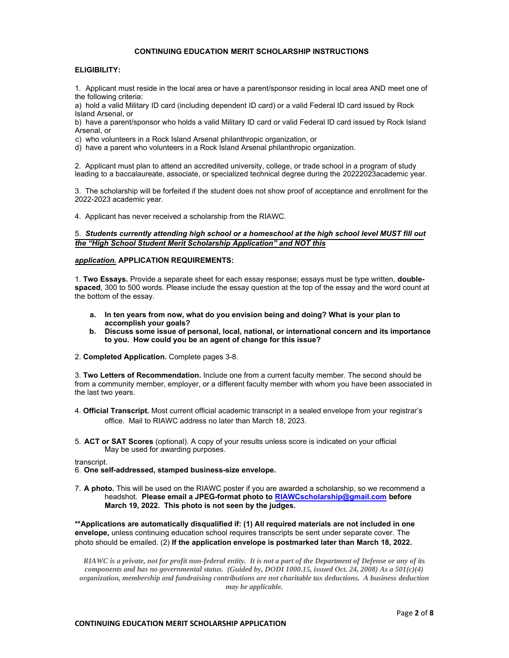### **CONTINUING EDUCATION MERIT SCHOLARSHIP INSTRUCTIONS**

#### **ELIGIBILITY:**

1. Applicant must reside in the local area or have a parent/sponsor residing in local area AND meet one of the following criteria:

a) hold a valid Military ID card (including dependent ID card) or a valid Federal ID card issued by Rock Island Arsenal, or

b) have a parent/sponsor who holds a valid Military ID card or valid Federal ID card issued by Rock Island Arsenal, or

c) who volunteers in a Rock Island Arsenal philanthropic organization, or

d) have a parent who volunteers in a Rock Island Arsenal philanthropic organization.

2. Applicant must plan to attend an accredited university, college, or trade school in a program of study leading to a baccalaureate, associate, or specialized technical degree during the 20222023academic year.

3. The scholarship will be forfeited if the student does not show proof of acceptance and enrollment for the 2022-2023 academic year.

4. Applicant has never received a scholarship from the RIAWC.

#### 5. *Students currently attending high school or a homeschool at the high school level MUST fill out the "High School Student Merit Scholarship Application" and NOT this*

#### *application.* **APPLICATION REQUIREMENTS:**

1. **Two Essays.** Provide a separate sheet for each essay response; essays must be type written, **doublespaced**, 300 to 500 words. Please include the essay question at the top of the essay and the word count at the bottom of the essay.

- **a. In ten years from now, what do you envision being and doing? What is your plan to accomplish your goals?**
- **b. Discuss some issue of personal, local, national, or international concern and its importance to you. How could you be an agent of change for this issue?**
- 2. **Completed Application.** Complete pages 3-8.

3. **Two Letters of Recommendation.** Include one from a current faculty member. The second should be from a community member, employer, or a different faculty member with whom you have been associated in the last two years.

- 4. **Official Transcript.** Most current official academic transcript in a sealed envelope from your registrar's office. Mail to RIAWC address no later than March 18, 2023.
- 5. **ACT or SAT Scores** (optional). A copy of your results unless score is indicated on your official May be used for awarding purposes.

transcript.

- 6. **One self-addressed, stamped business-size envelope.**
- 7. **A photo.** This will be used on the RIAWC poster if you are awarded a scholarship, so we recommend a headshot. **Please email a JPEG-format photo to RIAWCscholarship@gmail.com before March 19, 2022. This photo is not seen by the judges.**

**\*\*Applications are automatically disqualified if: (1) All required materials are not included in one envelope,** unless continuing education school requires transcripts be sent under separate cover. The photo should be emailed. (2) **If the application envelope is postmarked later than March 18, 2022.**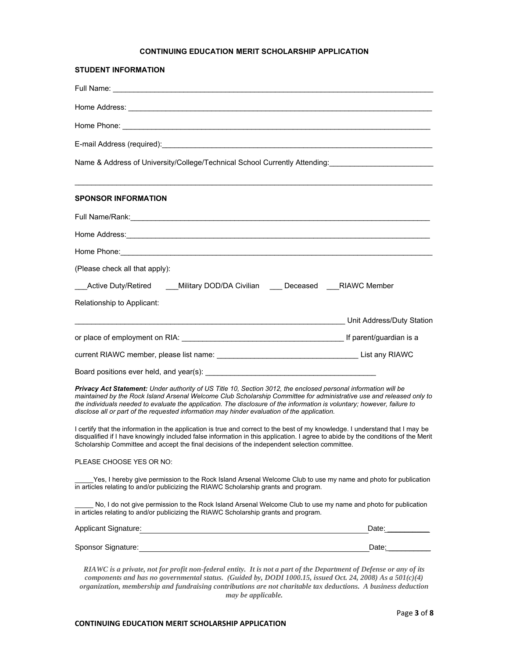## **CONTINUING EDUCATION MERIT SCHOLARSHIP APPLICATION**

| <b>STUDENT INFORMATION</b>                                                                                                                                                                                                                                                                                                                                                                                                                                       |                           |
|------------------------------------------------------------------------------------------------------------------------------------------------------------------------------------------------------------------------------------------------------------------------------------------------------------------------------------------------------------------------------------------------------------------------------------------------------------------|---------------------------|
|                                                                                                                                                                                                                                                                                                                                                                                                                                                                  |                           |
|                                                                                                                                                                                                                                                                                                                                                                                                                                                                  |                           |
|                                                                                                                                                                                                                                                                                                                                                                                                                                                                  |                           |
|                                                                                                                                                                                                                                                                                                                                                                                                                                                                  |                           |
| Name & Address of University/College/Technical School Currently Attending: [1997] [2003] Name & Address of University/College/Technical School Currently Attending:                                                                                                                                                                                                                                                                                              |                           |
| <b>SPONSOR INFORMATION</b>                                                                                                                                                                                                                                                                                                                                                                                                                                       |                           |
|                                                                                                                                                                                                                                                                                                                                                                                                                                                                  |                           |
|                                                                                                                                                                                                                                                                                                                                                                                                                                                                  |                           |
| Home Phone: <u>Contract of the Contract of the Contract of the Contract of the Contract of the Contract of the Contract of the Contract of the Contract of the Contract of the Contract of the Contract of the Contract of the C</u>                                                                                                                                                                                                                             |                           |
| (Please check all that apply):                                                                                                                                                                                                                                                                                                                                                                                                                                   |                           |
| Active Duty/Retired ____Military DOD/DA Civilian ____ Deceased RIAWC Member                                                                                                                                                                                                                                                                                                                                                                                      |                           |
| Relationship to Applicant:                                                                                                                                                                                                                                                                                                                                                                                                                                       |                           |
|                                                                                                                                                                                                                                                                                                                                                                                                                                                                  | Unit Address/Duty Station |
|                                                                                                                                                                                                                                                                                                                                                                                                                                                                  |                           |
|                                                                                                                                                                                                                                                                                                                                                                                                                                                                  |                           |
|                                                                                                                                                                                                                                                                                                                                                                                                                                                                  |                           |
| Privacy Act Statement: Under authority of US Title 10, Section 3012, the enclosed personal information will be<br>maintained by the Rock Island Arsenal Welcome Club Scholarship Committee for administrative use and released only to<br>the individuals needed to evaluate the application. The disclosure of the information is voluntary; however, failure to<br>disclose all or part of the requested information may hinder evaluation of the application. |                           |
| I certify that the information in the application is true and correct to the best of my knowledge. I understand that I may be<br>disqualified if I have knowingly included false information in this application. I agree to abide by the conditions of the Merit<br>Scholarship Committee and accept the final decisions of the independent selection committee.                                                                                                |                           |
| PLEASE CHOOSE YES OR NO:                                                                                                                                                                                                                                                                                                                                                                                                                                         |                           |
| Yes, I hereby give permission to the Rock Island Arsenal Welcome Club to use my name and photo for publication<br>in articles relating to and/or publicizing the RIAWC Scholarship grants and program.                                                                                                                                                                                                                                                           |                           |
| No, I do not give permission to the Rock Island Arsenal Welcome Club to use my name and photo for publication<br>in articles relating to and/or publicizing the RIAWC Scholarship grants and program.                                                                                                                                                                                                                                                            |                           |
| Applicant Signature: Management Signature: Management Signature: Management Signature: Management Signature: M                                                                                                                                                                                                                                                                                                                                                   | Date: ______________      |
|                                                                                                                                                                                                                                                                                                                                                                                                                                                                  | Date: 1                   |
| RIAWC is a private, not for profit non-federal entity. It is not a part of the Department of Defense or any of its<br>$(0.11)$ total define $(0.11)$ kg, $DODI 100015$ issued $Q_{11} 24.2000$ $A_{25} 501(1)$                                                                                                                                                                                                                                                   |                           |

*components and has no governmental status. (Guided by, DODI 1000.15, issued Oct. 24, 2008) As a 501(c)(4) organization, membership and fundraising contributions are not charitable tax deductions. A business deduction may be applicable.*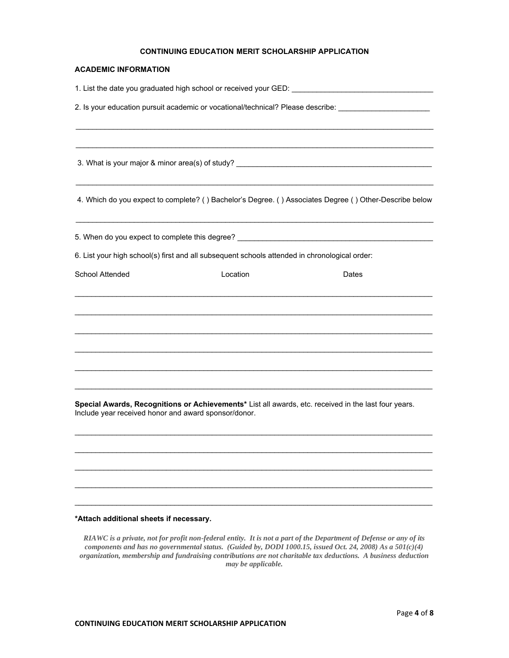## **CONTINUING EDUCATION MERIT SCHOLARSHIP APPLICATION**

### **ACADEMIC INFORMATION**

|                                                      |                                                                                                                                                                                                                                                                                                                                 | 1. List the date you graduated high school or received your GED:                                       |
|------------------------------------------------------|---------------------------------------------------------------------------------------------------------------------------------------------------------------------------------------------------------------------------------------------------------------------------------------------------------------------------------|--------------------------------------------------------------------------------------------------------|
|                                                      |                                                                                                                                                                                                                                                                                                                                 | 2. Is your education pursuit academic or vocational/technical? Please describe: ____________________   |
|                                                      |                                                                                                                                                                                                                                                                                                                                 | 3. What is your major & minor area(s) of study? _________________________________                      |
|                                                      |                                                                                                                                                                                                                                                                                                                                 | 4. Which do you expect to complete? () Bachelor's Degree. () Associates Degree () Other-Describe below |
|                                                      | 5. When do you expect to complete this degree? Learning and the state of the state of the state of the state of the state of the state of the state of the state of the state of the state of the state of the state of the st<br>6. List your high school(s) first and all subsequent schools attended in chronological order: |                                                                                                        |
| School Attended                                      | Location                                                                                                                                                                                                                                                                                                                        | Dates                                                                                                  |
|                                                      |                                                                                                                                                                                                                                                                                                                                 |                                                                                                        |
|                                                      |                                                                                                                                                                                                                                                                                                                                 |                                                                                                        |
| Include year received honor and award sponsor/donor. |                                                                                                                                                                                                                                                                                                                                 | Special Awards, Recognitions or Achievements* List all awards, etc. received in the last four years.   |
|                                                      |                                                                                                                                                                                                                                                                                                                                 |                                                                                                        |

## **\*Attach additional sheets if necessary.**

*RIAWC is a private, not for profit non-federal entity. It is not a part of the Department of Defense or any of its components and has no governmental status. (Guided by, DODI 1000.15, issued Oct. 24, 2008) As a 501(c)(4) organization, membership and fundraising contributions are not charitable tax deductions. A business deduction may be applicable.* 

 $\_$  ,  $\_$  ,  $\_$  ,  $\_$  ,  $\_$  ,  $\_$  ,  $\_$  ,  $\_$  ,  $\_$  ,  $\_$  ,  $\_$  ,  $\_$  ,  $\_$  ,  $\_$  ,  $\_$  ,  $\_$  ,  $\_$  ,  $\_$  ,  $\_$  ,  $\_$  ,  $\_$  ,  $\_$  ,  $\_$  ,  $\_$  ,  $\_$  ,  $\_$  ,  $\_$  ,  $\_$  ,  $\_$  ,  $\_$  ,  $\_$  ,  $\_$  ,  $\_$  ,  $\_$  ,  $\_$  ,  $\_$  ,  $\_$  ,

 $\_$  ,  $\_$  ,  $\_$  ,  $\_$  ,  $\_$  ,  $\_$  ,  $\_$  ,  $\_$  ,  $\_$  ,  $\_$  ,  $\_$  ,  $\_$  ,  $\_$  ,  $\_$  ,  $\_$  ,  $\_$  ,  $\_$  ,  $\_$  ,  $\_$  ,  $\_$  ,  $\_$  ,  $\_$  ,  $\_$  ,  $\_$  ,  $\_$  ,  $\_$  ,  $\_$  ,  $\_$  ,  $\_$  ,  $\_$  ,  $\_$  ,  $\_$  ,  $\_$  ,  $\_$  ,  $\_$  ,  $\_$  ,  $\_$  ,

\_\_\_\_\_\_\_\_\_\_\_\_\_\_\_\_\_\_\_\_\_\_\_\_\_\_\_\_\_\_\_\_\_\_\_\_\_\_\_\_\_\_\_\_\_\_\_\_\_\_\_\_\_\_\_\_\_\_\_\_\_\_\_\_\_\_\_\_\_\_\_\_\_\_\_\_\_\_\_\_\_\_\_\_\_\_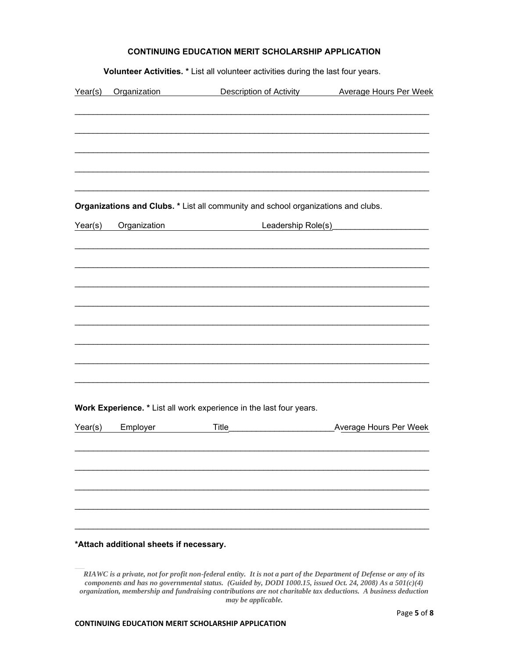| Year(s) | Organization                            |       | Organizations and Clubs. * List all community and school organizations and clubs. | Leadership Role(s) |                               |
|---------|-----------------------------------------|-------|-----------------------------------------------------------------------------------|--------------------|-------------------------------|
|         |                                         |       |                                                                                   |                    |                               |
|         |                                         |       |                                                                                   |                    |                               |
|         |                                         |       |                                                                                   |                    |                               |
|         |                                         |       |                                                                                   |                    |                               |
|         |                                         |       |                                                                                   |                    |                               |
|         |                                         |       |                                                                                   |                    |                               |
|         |                                         |       |                                                                                   |                    |                               |
|         |                                         |       |                                                                                   |                    |                               |
|         |                                         |       |                                                                                   |                    |                               |
|         |                                         |       |                                                                                   |                    |                               |
|         |                                         |       |                                                                                   |                    |                               |
|         |                                         |       |                                                                                   |                    |                               |
|         |                                         |       |                                                                                   |                    |                               |
|         |                                         |       |                                                                                   |                    |                               |
|         |                                         |       |                                                                                   |                    |                               |
|         |                                         |       |                                                                                   |                    |                               |
|         |                                         |       |                                                                                   |                    |                               |
|         |                                         |       |                                                                                   |                    |                               |
|         |                                         |       |                                                                                   |                    |                               |
|         |                                         |       | Work Experience. * List all work experience in the last four years.               |                    |                               |
| Year(s) | Employer                                | Title |                                                                                   |                    | <b>Average Hours Per Week</b> |
|         |                                         |       |                                                                                   |                    |                               |
|         |                                         |       |                                                                                   |                    |                               |
|         |                                         |       |                                                                                   |                    |                               |
|         |                                         |       |                                                                                   |                    |                               |
|         |                                         |       |                                                                                   |                    |                               |
|         |                                         |       |                                                                                   |                    |                               |
|         | *Attach additional sheets if necessary. |       |                                                                                   |                    |                               |

**Volunteer Activities. \*** List all volunteer activities during the last four years.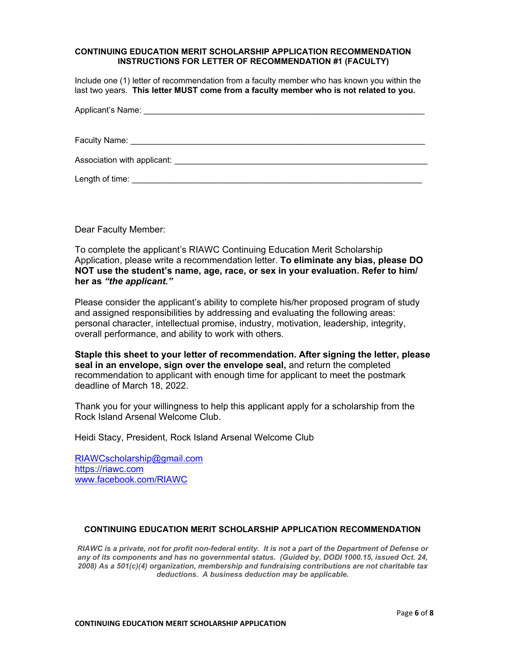## **CONTINUING EDUCATION MERIT SCHOLARSHIP APPLICATION RECOMMENDATION INSTRUCTIONS FOR LETTER OF RECOMMENDATION #1 (FACULTY)**

Include one (1) letter of recommendation from a faculty member who has known you within the last two years. **This letter MUST come from a faculty member who is not related to you.** 

| Applicant's Name: <b>Applicant</b> Applicant Applicant Applicant Applicant Applicant Applicant Applicant Applicant Applicant Applicant Applicant Applicant Applicant Applicant Applicant Applicant Applicant Applicant Applicant Ap |
|-------------------------------------------------------------------------------------------------------------------------------------------------------------------------------------------------------------------------------------|
|                                                                                                                                                                                                                                     |
|                                                                                                                                                                                                                                     |
| Association with applicant: North and Secretary Association with applicant:                                                                                                                                                         |
| Length of time:                                                                                                                                                                                                                     |

Dear Faculty Member:

To complete the applicant's RIAWC Continuing Education Merit Scholarship Application, please write a recommendation letter. **To eliminate any bias, please DO NOT use the student's name, age, race, or sex in your evaluation. Refer to him/ her as** *"the applicant."* 

Please consider the applicant's ability to complete his/her proposed program of study and assigned responsibilities by addressing and evaluating the following areas: personal character, intellectual promise, industry, motivation, leadership, integrity, overall performance, and ability to work with others.

**Staple this sheet to your letter of recommendation. After signing the letter, please seal in an envelope, sign over the envelope seal,** and return the completed recommendation to applicant with enough time for applicant to meet the postmark deadline of March 18, 2022.

Thank you for your willingness to help this applicant apply for a scholarship from the Rock Island Arsenal Welcome Club.

Heidi Stacy, President, Rock Island Arsenal Welcome Club

RIAWCscholarship@gmail.com https://riawc.com www.facebook.com/RIAWC

# **CONTINUING EDUCATION MERIT SCHOLARSHIP APPLICATION RECOMMENDATION**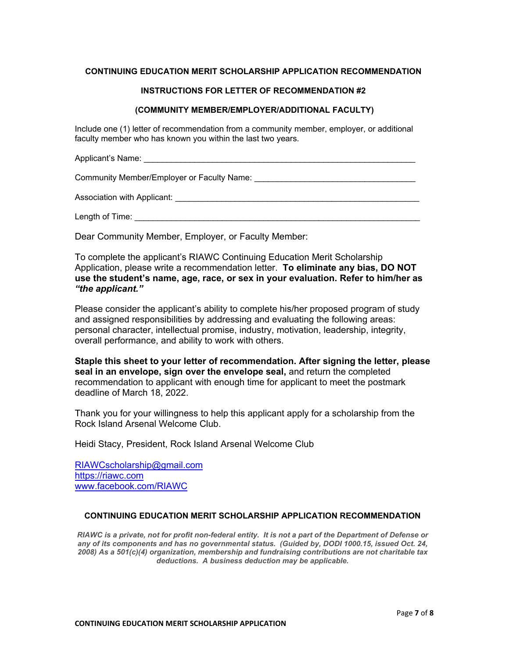# **CONTINUING EDUCATION MERIT SCHOLARSHIP APPLICATION RECOMMENDATION**

# **INSTRUCTIONS FOR LETTER OF RECOMMENDATION #2**

# **(COMMUNITY MEMBER/EMPLOYER/ADDITIONAL FACULTY)**

Include one (1) letter of recommendation from a community member, employer, or additional faculty member who has known you within the last two years.

Applicant's Name: **Alternative According to According the According According to According the According to According the According of According to According the According to According the According to According the Accord** 

Community Member/Employer or Faculty Name: \_\_\_\_\_\_\_\_\_\_\_\_\_\_\_\_\_\_\_\_\_\_\_\_\_\_\_\_\_\_\_\_\_\_\_

Association with Applicant: \_\_\_\_\_\_\_\_\_\_\_\_\_\_\_\_\_\_\_\_\_\_\_\_\_\_\_\_\_\_\_\_\_\_\_\_\_\_\_\_\_\_\_\_\_\_\_\_\_\_\_\_\_

Length of Time:  $\Box$ 

Dear Community Member, Employer, or Faculty Member:

To complete the applicant's RIAWC Continuing Education Merit Scholarship Application, please write a recommendation letter. **To eliminate any bias, DO NOT use the student's name, age, race, or sex in your evaluation. Refer to him/her as**  *"the applicant."*

Please consider the applicant's ability to complete his/her proposed program of study and assigned responsibilities by addressing and evaluating the following areas: personal character, intellectual promise, industry, motivation, leadership, integrity, overall performance, and ability to work with others.

**Staple this sheet to your letter of recommendation. After signing the letter, please seal in an envelope, sign over the envelope seal,** and return the completed recommendation to applicant with enough time for applicant to meet the postmark deadline of March 18, 2022.

Thank you for your willingness to help this applicant apply for a scholarship from the Rock Island Arsenal Welcome Club.

Heidi Stacy, President, Rock Island Arsenal Welcome Club

RIAWCscholarship@gmail.com https://riawc.com www.facebook.com/RIAWC

# **CONTINUING EDUCATION MERIT SCHOLARSHIP APPLICATION RECOMMENDATION**